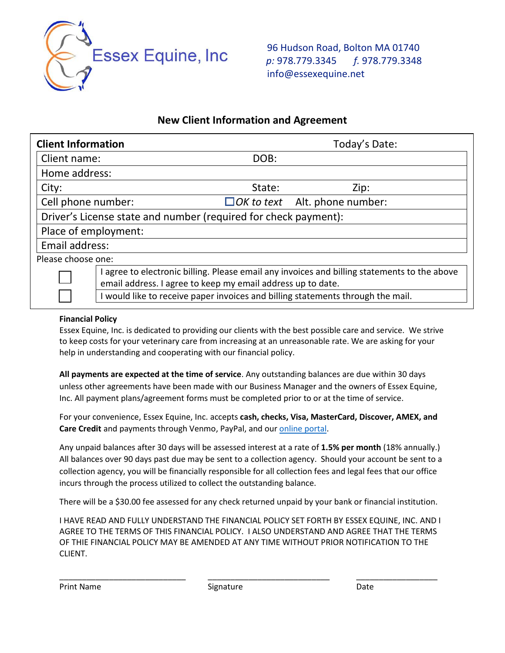

96 Hudson Road, Bolton MA 01740  *p:* 978.779.3345 *f.* 978.779.3348 info@essexequine.net

# **New Client Information and Agreement**

| <b>Client Information</b>                                       |                                                                                                                                                             | Today's Date: |                                      |  |  |  |
|-----------------------------------------------------------------|-------------------------------------------------------------------------------------------------------------------------------------------------------------|---------------|--------------------------------------|--|--|--|
| Client name:                                                    |                                                                                                                                                             | DOB:          |                                      |  |  |  |
| Home address:                                                   |                                                                                                                                                             |               |                                      |  |  |  |
| City:                                                           |                                                                                                                                                             | State:        | Zip:                                 |  |  |  |
| Cell phone number:                                              |                                                                                                                                                             |               | $\Box$ OK to text Alt. phone number: |  |  |  |
| Driver's License state and number (required for check payment): |                                                                                                                                                             |               |                                      |  |  |  |
| Place of employment:                                            |                                                                                                                                                             |               |                                      |  |  |  |
| Email address:                                                  |                                                                                                                                                             |               |                                      |  |  |  |
| Please choose one:                                              |                                                                                                                                                             |               |                                      |  |  |  |
|                                                                 | I agree to electronic billing. Please email any invoices and billing statements to the above<br>email address. I agree to keep my email address up to date. |               |                                      |  |  |  |
|                                                                 | I would like to receive paper invoices and billing statements through the mail.                                                                             |               |                                      |  |  |  |

# **Financial Policy**

Essex Equine, Inc. is dedicated to providing our clients with the best possible care and service. We strive to keep costs for your veterinary care from increasing at an unreasonable rate. We are asking for your help in understanding and cooperating with our financial policy.

**All payments are expected at the time of service**. Any outstanding balances are due within 30 days unless other agreements have been made with our Business Manager and the owners of Essex Equine, Inc. All payment plans/agreement forms must be completed prior to or at the time of service.

For your convenience, Essex Equine, Inc. accepts **cash, checks, Visa, MasterCard, Discover, AMEX, and Care Credit** and payments through Venmo, PayPal, and ou[r online portal.](https://pmt-essex.businessinfusions.com/balance)

Any unpaid balances after 30 days will be assessed interest at a rate of **1.5% per month** (18% annually.) All balances over 90 days past due may be sent to a collection agency. Should your account be sent to a collection agency, you will be financially responsible for all collection fees and legal fees that our office incurs through the process utilized to collect the outstanding balance.

There will be a \$30.00 fee assessed for any check returned unpaid by your bank or financial institution.

I HAVE READ AND FULLY UNDERSTAND THE FINANCIAL POLICY SET FORTH BY ESSEX EQUINE, INC. AND I AGREE TO THE TERMS OF THIS FINANCIAL POLICY. I ALSO UNDERSTAND AND AGREE THAT THE TERMS OF THIE FINANCIAL POLICY MAY BE AMENDED AT ANY TIME WITHOUT PRIOR NOTIFICATION TO THE CLIENT.

\_\_\_\_\_\_\_\_\_\_\_\_\_\_\_\_\_\_\_\_\_\_\_\_\_\_\_\_ \_\_\_\_\_\_\_\_\_\_\_\_\_\_\_\_\_\_\_\_\_\_\_\_\_\_\_ \_\_\_\_\_\_\_\_\_\_\_\_\_\_\_\_\_\_

Print Name Date **Signature** Signature Date Date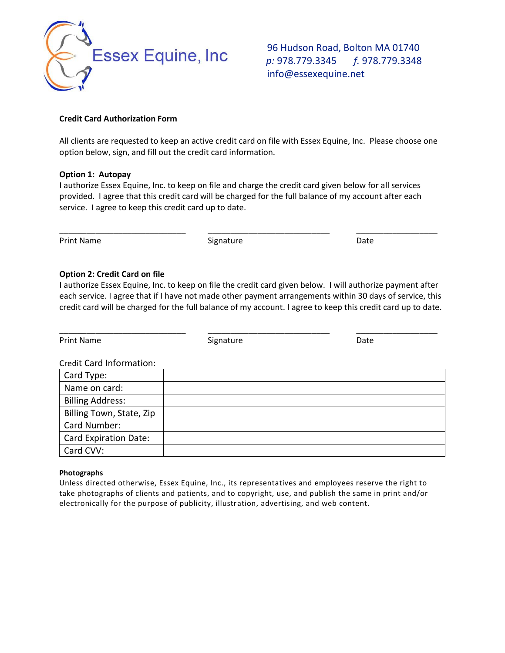

96 Hudson Road, Bolton MA 01740  *p:* 978.779.3345 *f.* 978.779.3348 info@essexequine.net

### **Credit Card Authorization Form**

All clients are requested to keep an active credit card on file with Essex Equine, Inc. Please choose one option below, sign, and fill out the credit card information.

### **Option 1: Autopay**

I authorize Essex Equine, Inc. to keep on file and charge the credit card given below for all services provided. I agree that this credit card will be charged for the full balance of my account after each service. I agree to keep this credit card up to date.

\_\_\_\_\_\_\_\_\_\_\_\_\_\_\_\_\_\_\_\_\_\_\_\_\_\_\_\_ \_\_\_\_\_\_\_\_\_\_\_\_\_\_\_\_\_\_\_\_\_\_\_\_\_\_\_ \_\_\_\_\_\_\_\_\_\_\_\_\_\_\_\_\_\_

Print Name Date and Signature Controller and Signature Date Date

#### **Option 2: Credit Card on file**

I authorize Essex Equine, Inc. to keep on file the credit card given below. I will authorize payment after each service. I agree that if I have not made other payment arrangements within 30 days of service, this credit card will be charged for the full balance of my account. I agree to keep this credit card up to date.

| <b>Print Name</b>        | Signature | Date |  |  |  |  |  |
|--------------------------|-----------|------|--|--|--|--|--|
| Credit Card Information: |           |      |  |  |  |  |  |
| Card Type:               |           |      |  |  |  |  |  |
| Name on card:            |           |      |  |  |  |  |  |
| <b>Billing Address:</b>  |           |      |  |  |  |  |  |
| Billing Town, State, Zip |           |      |  |  |  |  |  |
| Card Number:             |           |      |  |  |  |  |  |
| Card Expiration Date:    |           |      |  |  |  |  |  |
| Card CVV:                |           |      |  |  |  |  |  |

#### **Photographs**

Unless directed otherwise, Essex Equine, Inc., its representatives and employees reserve the right to take photographs of clients and patients, and to copyright, use, and publish the same in print and/or electronically for the purpose of publicity, illustration, advertising, and web content.